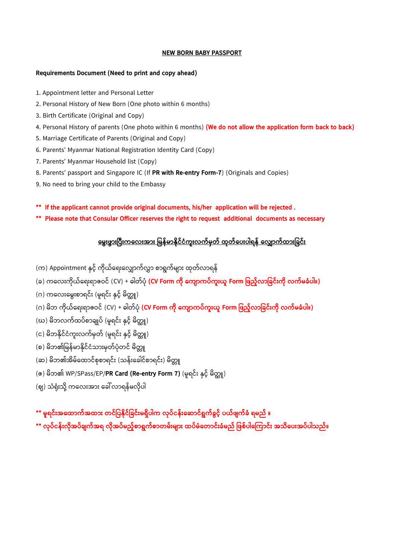## **NEW BORN BABY PASSPORT**

## **Requirements Document (Need to print and copy ahead)**

- 1. Appointment letter and Personal Letter
- 2. Personal History of New Born (One photo within 6 months)
- 3. Birth Certificate (Original and Copy)
- 4. Personal History of parents (One photo within 6 months) **(We do not allow the application form back to back)**
- 5. Marriage Certificate of Parents (Original and Copy)
- 6. Parents' Myanmar National Registration Identity Card (Copy)
- 7. Parents' Myanmar Household list (Copy)
- 8. Parents' passport and Singapore IC (If **PR with Re-entry Form-7**) (Originals and Copies)
- 9. No need to bring your child to the Embassy
- **\*\* If the applicant cannot provide original documents, his/her application will be rejected .**
- **\*\* Please note that Consular Officer reserves the right to request additional documents as necessary**

## <u>မွေးဖွားပြီးကလေးအား မြန်မာနိုင်ငံကူးလက်မှတ် ထုတ်ပေးပါရန် လျှောက်ထားခြင်း</u>

- (က) Appointment နှင့် ကိုယ်ရေးလျှောက်လွှာ စာရွက်များ ထုတ်လာရန်
- (ခ) ကရလေးက ိုယ့်ရရေးရျှောဇဝင့် (CV) + ဓါတ့်ပ ို **(CV Form က ို မက က ်က ွေးယ Form မဖည ် မြင်ွေးက ို က် ြံ ါ။)**
- (ဂ) ကလေးမွေးစာရင်း (မူရင်း နှင့် မိတ္တူ)
- (ဂ) မိဘ ကိုယ်ရေးရာဇဝင် (CV) + ဓါတ်ပုံ **(CV Form ကို ကျောကပ်ကူးယူ Form ဖြည့်လာခြင်းကို လက်မခံပါ။)**
- (ဃ) မိဘလက်ထပ်စာချုပ် (မူရင်း နှင့် မိတ္တူ)
- (င) မိဘနိုင်ငံကူးလက်မတ် (မရင်း နှင့် မိတူ၊)
- (စ) မိဘ၏မြန်မာနိုင်ငံသားမှတ်ပုံတင် မိတ္တူ
- (ဆ) မိဘ၏အိမ်ထောင်စုစာရင်း (သန်းခေါင်စာရင်း) မိတ္တူ

## (ၜ) မိဘ၏ WP/SPass/EP/**PR Card (Re-entry Form 7)** (မူရင်း နှင့် မိတ္တူ)

(ဈ) သံရုံးသို့ ကလေးအား ခေါ် လာရန်မလိုပါ

**\*\* ရင်ွေးအမထ က်အထ ွေး တင်မ န ိုင်မြင်ွေး ရှ ါက ို ်ငန်ွေးမ င်ရွက်ြ င် ယ်ဖ က်ြံ ရ ည် ။**

**\*\* ို ်ငန်ွေး ိုအ ်ြ က်အရ ိုအ ် ည် စ ရွက်စ တ ်ွေး ွေး ထ ် ံမတ င်ွေးြံ ည် မဖစ် ါမ က င်ွေး အသ မ ွေးအ ် ါသည်။**